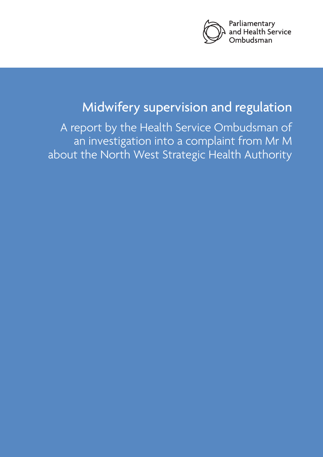

# Midwifery supervision and regulation

A report by the Health Service Ombudsman of an investigation into a complaint from Mr M about the North West Strategic Health Authority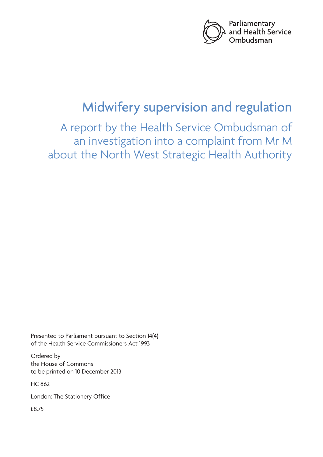

# Midwifery supervision and regulation

A report by the Health Service Ombudsman of an investigation into a complaint from Mr M about the North West Strategic Health Authority

Presented to Parliament pursuant to Section 14(4) of the Health Service Commissioners Act 1993

Ordered by the House of Commons to be printed on 10 December 2013

HC 862

London: The Stationery Office

£8.75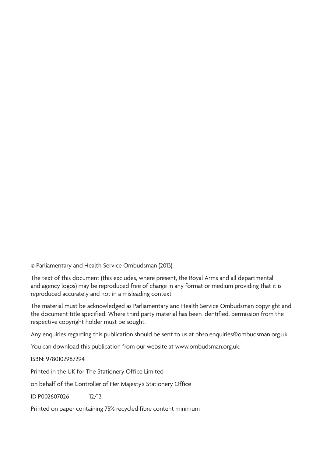© Parliamentary and Health Service Ombudsman (2013).

The text of this document (this excludes, where present, the Royal Arms and all departmental and agency logos) may be reproduced free of charge in any format or medium providing that it is reproduced accurately and not in a misleading context

The material must be acknowledged as Parliamentary and Health Service Ombudsman copyright and the document title specified. Where third party material has been identified, permission from the respective copyright holder must be sought.

Any enquiries regarding this publication should be sent to us at phso.enquiries@ombudsman.org.uk.

You can download this publication from our website at www.ombudsman.org.uk.

ISBN: 9780102987294

Printed in the UK for The Stationery Office Limited

on behalf of the Controller of Her Majesty's Stationery Office

ID P002607026 12/13

Printed on paper containing 75% recycled fibre content minimum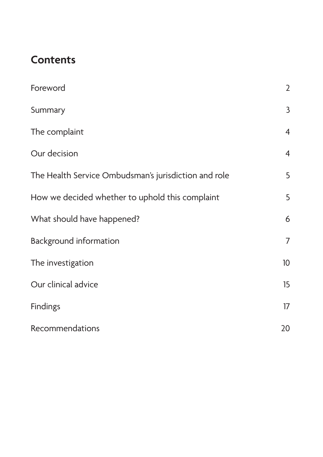### **Contents**

| Foreword                                             | $\overline{2}$ |
|------------------------------------------------------|----------------|
| Summary                                              | $\mathsf{3}$   |
| The complaint                                        | $\overline{4}$ |
| Our decision                                         | $\overline{4}$ |
| The Health Service Ombudsman's jurisdiction and role | 5              |
| How we decided whether to uphold this complaint      | 5              |
| What should have happened?                           | 6              |
| <b>Background information</b>                        | $\overline{7}$ |
| The investigation                                    | 10             |
| Our clinical advice                                  | 15             |
| <b>Findings</b>                                      | 17             |
| Recommendations                                      | 20             |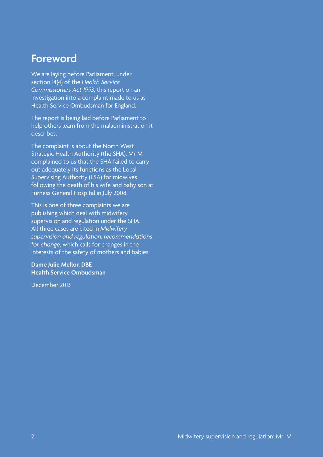### <span id="page-5-0"></span>**Foreword**

We are laying before Parliament, under section 14(4) of the *Health Service Commissioners Act 1993*, this report on an investigation into a complaint made to us as Health Service Ombudsman for England.

The report is being laid before Parliament to help others learn from the maladministration it describes.

The complaint is about the North West Strategic Health Authority (the SHA). Mr M complained to us that the SHA failed to carry out adequately its functions as the Local Supervising Authority (LSA) for midwives following the death of his wife and baby son at Furness General Hospital in July 2008.

This is one of three complaints we are publishing which deal with midwifery supervision and regulation under the SHA. All three cases are cited in *Midwifery supervision and regulation: recommendations for change*, which calls for changes in the interests of the safety of mothers and babies.

#### **Dame Julie Mellor, DBE Health Service Ombudsman**

December 2013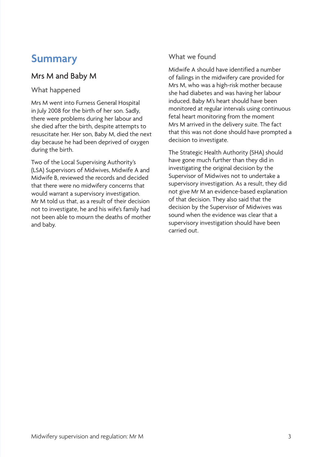### <span id="page-6-0"></span>**Summary**

### Mrs M and Baby M

#### What happened

Mrs M went into Furness General Hospital in July 2008 for the birth of her son. Sadly, there were problems during her labour and she died after the birth, despite attempts to resuscitate her. Her son, Baby M, died the next day because he had been deprived of oxygen during the birth.

Two of the Local Supervising Authority's (LSA) Supervisors of Midwives, Midwife A and Midwife B, reviewed the records and decided that there were no midwifery concerns that would warrant a supervisory investigation. Mr M told us that, as a result of their decision not to investigate, he and his wife's family had not been able to mourn the deaths of mother and baby.

#### What we found

Midwife A should have identified a number of failings in the midwifery care provided for Mrs M, who was a high-risk mother because she had diabetes and was having her labour induced. Baby M's heart should have been monitored at regular intervals using continuous fetal heart monitoring from the moment Mrs M arrived in the delivery suite. The fact that this was not done should have prompted a decision to investigate.

The Strategic Health Authority (SHA) should have gone much further than they did in investigating the original decision by the Supervisor of Midwives not to undertake a supervisory investigation. As a result, they did not give Mr M an evidence-based explanation of that decision. They also said that the decision by the Supervisor of Midwives was sound when the evidence was clear that a supervisory investigation should have been carried out.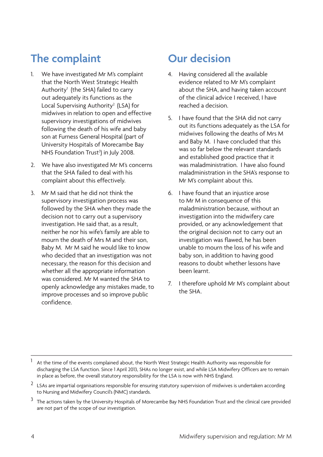## <span id="page-7-0"></span>**The complaint**

- 1. We have investigated Mr M's complaint that the North West Strategic Health Authority<sup>1</sup> (the SHA) failed to carry out adequately its functions as the Local Supervising Authority<sup>2</sup> (LSA) for midwives in relation to open and effective supervisory investigations of midwives following the death of his wife and baby son at Furness General Hospital (part of University Hospitals of Morecambe Bay NHS Foundation Trust<sup>3</sup>) in July 2008.
- 2. We have also investigated Mr M's concerns that the SHA failed to deal with his complaint about this effectively.
- 3. Mr M said that he did not think the supervisory investigation process was followed by the SHA when they made the decision not to carry out a supervisory investigation. He said that, as a result, neither he nor his wife's family are able to mourn the death of Mrs M and their son, Baby M. Mr M said he would like to know who decided that an investigation was not necessary, the reason for this decision and whether all the appropriate information was considered. Mr M wanted the SHA to openly acknowledge any mistakes made, to improve processes and so improve public confidence.

### **Our decision**

- 4. Having considered all the available evidence related to Mr M's complaint about the SHA, and having taken account of the clinical advice I received, I have reached a decision.
- 5. I have found that the SHA did not carry out its functions adequately as the LSA for midwives following the deaths of Mrs M and Baby M. I have concluded that this was so far below the relevant standards and established good practice that it was maladministration. I have also found maladministration in the SHA's response to Mr M's complaint about this.
- 6. I have found that an injustice arose to Mr M in consequence of this maladministration because, without an investigation into the midwifery care provided, or any acknowledgement that the original decision not to carry out an investigation was flawed, he has been unable to mourn the loss of his wife and baby son, in addition to having good reasons to doubt whether lessons have been learnt.
- 7. I therefore uphold Mr M's complaint about the SHA.

At the time of the events complained about, the North West Strategic Health Authority was responsible for discharging the LSA function. Since 1 April 2013, SHAs no longer exist, and while LSA Midwifery Officers are to remain in place as before, the overall statutory responsibility for the LSA is now with NHS England.

 $2$  LSAs are impartial organisations responsible for ensuring statutory supervision of midwives is undertaken according to Nursing and Midwifery Council's (NMC) standards.

<sup>&</sup>lt;sup>3</sup> The actions taken by the University Hospitals of Morecambe Bay NHS Foundation Trust and the clinical care provided are not part of the scope of our investigation.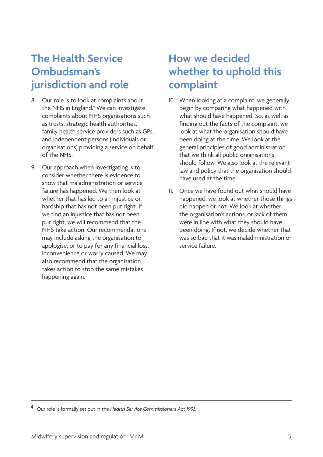### <span id="page-8-0"></span>**The Health Service Ombudsman's jurisdiction and role**

- 8. Our role is to look at complaints about the NHS in England.<sup>4</sup> We can investigate complaints about NHS organisations such as trusts, strategic health authorities, family health service providers such as GPs, and independent persons (individuals or organisations) providing a service on behalf of the NHS.
- 9. Our approach when investigating is to consider whether there is evidence to show that maladministration or service failure has happened. We then look at whether that has led to an injustice or hardship that has not been put right. If we find an injustice that has not been put right, we will recommend that the NHS take action. Our recommendations may include asking the organisation to apologise, or to pay for any financial loss, inconvenience or worry caused. We may also recommend that the organisation takes action to stop the same mistakes happening again.

### **How we decided whether to uphold this complaint**

- 10. When looking at a complaint, we generally begin by comparing what happened with what should have happened. So, as well as finding out the facts of the complaint, we look at what the organisation should have been doing at the time. We look at the general principles of good administration that we think all public organisations should follow. We also look at the relevant law and policy that the organisation should have used at the time.
- 11. Once we have found out what should have happened, we look at whether those things did happen or not. We look at whether the organisation's actions, or lack of them, were in line with what they should have been doing. If not, we decide whether that was so bad that it was maladministration or service failure.

<sup>4</sup> Our role is formally set out in the *Health Service Commissioners Act 1993.*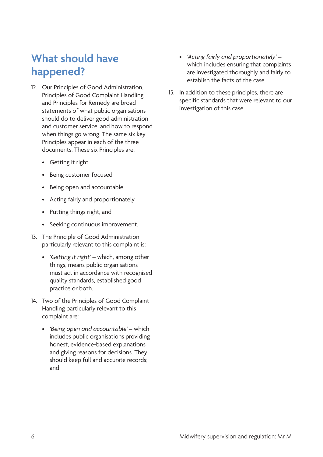## <span id="page-9-0"></span>**What should have happened?**

- 12. Our Principles of Good Administration, Principles of Good Complaint Handling and Principles for Remedy are broad statements of what public organisations should do to deliver good administration and customer service, and how to respond when things go wrong. The same six key Principles appear in each of the three documents. These six Principles are:
	- • Getting it right
	- • Being customer focused
	- • Being open and accountable
	- • Acting fairly and proportionately
	- • Putting things right, and
	- • Seeking continuous improvement.
- 13. The Principle of Good Administration particularly relevant to this complaint is:
	- *• 'Getting it right'*  which, among other things, means public organisations must act in accordance with recognised quality standards, established good practice or both.
- 14. Two of the Principles of Good Complaint Handling particularly relevant to this complaint are:
	- *• 'Being open and accountable'* which includes public organisations providing honest, evidence-based explanations and giving reasons for decisions. They should keep full and accurate records; and
- *• 'Acting fairly and proportionately'*  which includes ensuring that complaints are investigated thoroughly and fairly to establish the facts of the case.
- 15. In addition to these principles, there are specific standards that were relevant to our investigation of this case.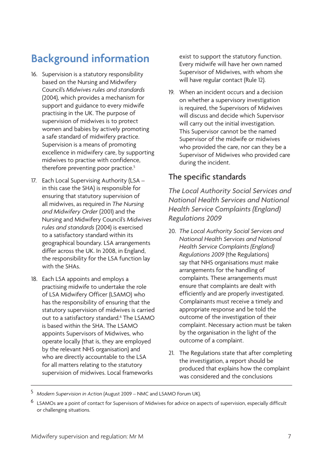## <span id="page-10-0"></span>**Background information**

- 16. Supervision is a statutory responsibility based on the Nursing and Midwifery Council's *Midwives rules and standards*  (2004), which provides a mechanism for support and guidance to every midwife practising in the UK. The purpose of supervision of midwives is to protect women and babies by actively promoting a safe standard of midwifery practice. Supervision is a means of promoting excellence in midwifery care, by supporting midwives to practise with confidence, therefore preventing poor practice.<sup>5</sup>
- 17. Each Local Supervising Authority (LSA in this case the SHA) is responsible for ensuring that statutory supervision of all midwives, as required in *The Nursing and Midwifery Order* (2001) and the Nursing and Midwifery Council's *Midwives rules and standards* (2004) is exercised to a satisfactory standard within its geographical boundary. LSA arrangements differ across the UK. In 2008, in England, the responsibility for the LSA function lay with the SHAs.
- 18. Each LSA appoints and employs a practising midwife to undertake the role of LSA Midwifery Officer (LSAMO) who has the responsibility of ensuring that the statutory supervision of midwives is carried out to a satisfactory standard.6 The LSAMO is based within the SHA. The LSAMO appoints Supervisors of Midwives, who operate locally (that is, they are employed by the relevant NHS organisation) and who are directly accountable to the LSA for all matters relating to the statutory supervision of midwives. Local frameworks

exist to support the statutory function. Every midwife will have her own named Supervisor of Midwives, with whom she will have regular contact (Rule 12).

19. When an incident occurs and a decision on whether a supervisory investigation is required, the Supervisors of Midwives will discuss and decide which Supervisor will carry out the initial investigation. This Supervisor cannot be the named Supervisor of the midwife or midwives who provided the care, nor can they be a Supervisor of Midwives who provided care during the incident.

#### The specific standards

*The Local Authority Social Services and National Health Services and National Health Service Complaints (England) Regulations 2009* 

- 20. *The Local Authority Social Services and National Health Services and National Health Service Complaints (England) Regulations 2009* (the Regulations) say that NHS organisations must make arrangements for the handling of complaints. These arrangements must ensure that complaints are dealt with efficiently and are properly investigated. Complainants must receive a timely and appropriate response and be told the outcome of the investigation of their complaint. Necessary action must be taken by the organisation in the light of the outcome of a complaint.
- 21. The Regulations state that after completing the investigation, a report should be produced that explains how the complaint was considered and the conclusions

<sup>5</sup> *Modern Supervision in Acti*on (August 2009 – NMC and LSAMO Forum UK).

<sup>6</sup> LSAMOs are a point of contact for Supervisors of Midwives for advice on aspects of supervision, especially difficult or challenging situations.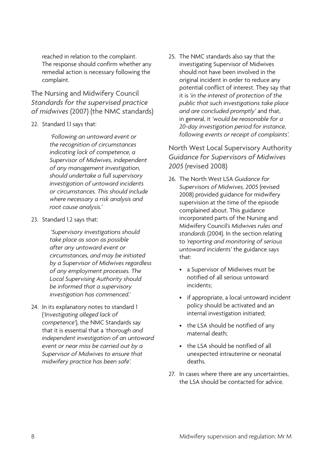reached in relation to the complaint. The response should confirm whether any remedial action is necessary following the complaint.

The Nursing and Midwifery Council *Standards for the supervised practice of midwives* (2007) (the NMC standards)

22. Standard 1.1 says that:

*'Following an untoward event or the recognition of circumstances indicating lack of competence, a Supervisor of Midwives, independent of any management investigation, should undertake a full supervisory investigation of untoward incidents or circumstances. This should include where necessary a risk analysis and root cause analysis.'*

23. Standard 1.2 says that:

*'Supervisory investigations should take place as soon as possible after any untoward event or circumstances, and may be initiated by a Supervisor of Midwives regardless of any employment processes. The Local Supervising Authority should be informed that a supervisory investigation has commenced.'*

24. In its explanatory notes to standard 1 (*'Investigating alleged lack of competence'*), the NMC Standards say that it is essential that a *'thorough and independent investigation of an untoward event or near miss be carried out by a Supervisor of Midwives to ensure that midwifery practice has been safe'.* 

25. The NMC standards also say that the investigating Supervisor of Midwives should not have been involved in the original incident in order to reduce any potential conflict of interest. They say that it is *'in the interest of protection of the public that such investigations take place and are concluded promptly'* and that, in general, it *'would be reasonable for a 20-day investigation period for instance, following events or receipt of complaints'.* 

North West Local Supervisory Authority *Guidance for Supervisors of Midwives 2005* (revised 2008)

- 26. The North West LSA *Guidance for Supervisors of Midwives, 2005* (revised 2008) provided guidance for midwifery supervision at the time of the episode complained about. This guidance incorporated parts of the Nursing and Midwifery Council's *Midwives rules and standards* (2004). In the section relating to *'reporting and monitoring of serious untoward incidents'* the guidance says that:
	- • a Supervisor of Midwives must be notified of all serious untoward incidents;
	- if appropriate, a local untoward incident policy should be activated and an internal investigation initiated;
	- the LSA should be notified of any maternal death;
	- the LSA should be notified of all unexpected intrauterine or neonatal deaths.
- 27. In cases where there are any uncertainties, the LSA should be contacted for advice.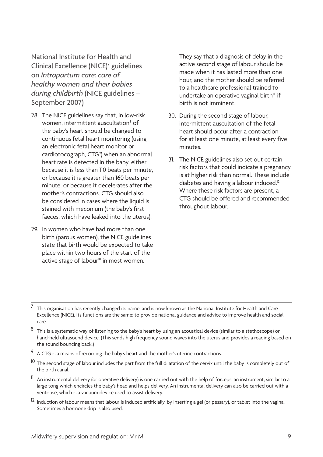National Institute for Health and Clinical Excellence (NICE)<sup>7</sup> guidelines on *Intrapartum care: care of healthy women and their babies during childbirth* (NICE guidelines – September 2007)

- 28. The NICE guidelines say that, in low-risk women, intermittent auscultation<sup>8</sup> of the baby's heart should be changed to continuous fetal heart monitoring (using an electronic fetal heart monitor or cardiotocograph, CTG<sup>9</sup>) when an abnormal heart rate is detected in the baby, either because it is less than 110 beats per minute, or because it is greater than 160 beats per minute, or because it decelerates after the mother's contractions. CTG should also be considered in cases where the liquid is stained with meconium (the baby's first faeces, which have leaked into the uterus).
- 29. In women who have had more than one birth (parous women), the NICE guidelines state that birth would be expected to take place within two hours of the start of the  $\alpha$  active stage of labour<sup>10</sup> in most women.

They say that a diagnosis of delay in the active second stage of labour should be made when it has lasted more than one hour, and the mother should be referred to a healthcare professional trained to undertake an operative vaginal birth $\mathbb{I}$  if birth is not imminent.

- 30. During the second stage of labour, intermittent auscultation of the fetal heart should occur after a contraction for at least one minute, at least every five minutes.
- 31. The NICE guidelines also set out certain risk factors that could indicate a pregnancy is at higher risk than normal. These include diabetes and having a labour induced.<sup>12</sup> Where these risk factors are present, a CTG should be offered and recommended throughout labour.

- A CTG is a means of recording the baby's heart and the mother's uterine contractions.
- <sup>10</sup> The second stage of labour includes the part from the full dilatation of the cervix until the baby is completely out of the birth canal.
- $11$  An instrumental delivery (or operative delivery) is one carried out with the help of forceps, an instrument, similar to a large tong which encircles the baby's head and helps delivery. An instrumental delivery can also be carried out with a ventouse, which is a vacuum device used to assist delivery.
- <sup>12</sup> Induction of labour means that labour is induced artificially, by inserting a gel (or pessary), or tablet into the vagina. Sometimes a hormone drip is also used.

<sup>7</sup> This organisation has recently changed its name, and is now known as the National Institute for Health and Care Excellence (NICE). Its functions are the same: to provide national guidance and advice to improve health and social care.

 $8$  This is a systematic way of listening to the baby's heart by using an acoustical device (similar to a stethoscope) or hand-held ultrasound device. (This sends high frequency sound waves into the uterus and provides a reading based on the sound bouncing back.)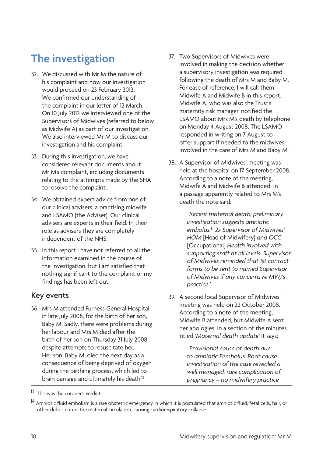## <span id="page-13-0"></span>**The investigation**

- 32. We discussed with Mr M the nature of his complaint and how our investigation would proceed on 23 February 2012. We confirmed our understanding of the complaint in our letter of 12 March. On 10 July 2012 we interviewed one of the Supervisors of Midwives (referred to below as Midwife A) as part of our investigation. We also interviewed Mr M to discuss our investigation and his complaint.
- 33. During this investigation, we have considered relevant documents about Mr M's complaint, including documents relating to the attempts made by the SHA to resolve the complaint.
- 34. We obtained expert advice from one of our clinical advisers: a practising midwife and LSAMO (the Adviser). Our clinical advisers are experts in their field. In their role as advisers they are completely independent of the NHS.
- 35. In this report I have not referred to all the information examined in the course of the investigation, but I am satisfied that nothing significant to the complaint or my findings has been left out.

#### Key events

36. Mrs M attended Furness General Hospital in late July 2008, for the birth of her son, Baby M. Sadly, there were problems during her labour and Mrs M died after the birth of her son on Thursday 31 July 2008, despite attempts to resuscitate her. Her son, Baby M, died the next day as a consequence of being deprived of oxygen during the birthing process, which led to brain damage and ultimately his death.<sup>13</sup>

- 37. Two Supervisors of Midwives were involved in making the decision whether a supervisory investigation was required following the death of Mrs M and Baby M. For ease of reference, I will call them Midwife A and Midwife B in this report. Midwife A, who was also the Trust's maternity risk manager, notified the LSAMO about Mrs M's death by telephone on Monday 4 August 2008. The LSAMO responded in writing on 7 August to offer support if needed to the midwives involved in the care of Mrs M and Baby M.
- 38. A Supervisor of Midwives' meeting was held at the hospital on 17 September 2008. According to a note of the meeting, Midwife A and Midwife B attended. In a passage apparently related to Mrs M's death the note said:

*'Recent maternal death; preliminary investigation suggests amniotic embolus.*<sup>14</sup> *2x Supervisor of Midwives', HOM* [Head of Midwifery] *and OCC*  [Occupational] *Health involved with supporting staff at all levels. Supervisor of Midwives reminded that 1st contact forms to be sent to named Supervisor of Midwives if any concerns re MW/s practice.'*

39. A second local Supervisor of Midwives' meeting was held on 22 October 2008. According to a note of the meeting, Midwife B attended, but Midwife A sent her apologies. In a section of the minutes titled *'Maternal death update'* it says:

> *'Provisional cause of death due to amniotic Eembolus. Root cause investigation of the case revealed a well managed, rare complication of pregnancy – no midwifery practice*

<sup>13</sup> This was the coroner's verdict.

<sup>&</sup>lt;sup>14</sup> Amniotic fluid embolism is a rare obstetric emergency in which it is postulated that amniotic fluid, fetal cells, hair, or other debris enters the maternal circulation, causing cardiorespiratory collapse.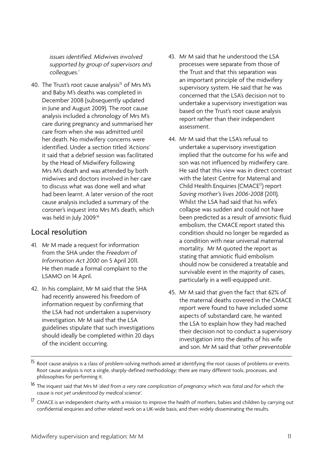*issues identified. Midwives involved supported by group of supervisors and colleagues.'* 

40. The Trust's root cause analysis<sup>15</sup> of Mrs M's and Baby M's deaths was completed in December 2008 (subsequently updated in June and August 2009). The root cause analysis included a chronology of Mrs M's care during pregnancy and summarised her care from when she was admitted until her death. No midwifery concerns were identified. Under a section titled *'Actions'*  it said that a debrief session was facilitated by the Head of Midwifery following Mrs M's death and was attended by both midwives and doctors involved in her care to discuss what was done well and what had been learnt. A later version of the root cause analysis included a summary of the coroner's inquest into Mrs M's death, which was held in July 2009.16

### Local resolution

- 41. Mr M made a request for information from the SHA under the *Freedom of Information Act 2000* on 5 April 2011. He then made a formal complaint to the LSAMO on 14 April.
- 42. In his complaint, Mr M said that the SHA had recently answered his freedom of information request by confirming that the LSA had not undertaken a supervisory investigation. Mr M said that the LSA guidelines stipulate that such investigations should ideally be completed within 20 days of the incident occurring.
- 43. Mr M said that he understood the LSA processes were separate from those of the Trust and that this separation was an important principle of the midwifery supervisory system. He said that he was concerned that the LSA's decision not to undertake a supervisory investigation was based on the Trust's root cause analysis report rather than their independent assessment.
- 44. Mr M said that the LSA's refusal to undertake a supervisory investigation implied that the outcome for his wife and son was not influenced by midwifery care. He said that this view was in direct contrast with the latest Centre for Maternal and Child Health Enquiries (CMACE17) report *Saving mother's lives 2006-2008* (2011). Whilst the LSA had said that his wife's collapse was sudden and could not have been predicted as a result of amniotic fluid embolism, the CMACE report stated this condition should no longer be regarded as a condition with near universal maternal mortality. Mr M quoted the report as stating that amniotic fluid embolism should now be considered a treatable and survivable event in the majority of cases, particularly in a well-equipped unit.
- 45. Mr M said that given the fact that 62% of the maternal deaths covered in the CMACE report were found to have included some aspects of substandard care, he wanted the LSA to explain how they had reached their decision not to conduct a supervisory investigation into the deaths of his wife and son. Mr M said that *'other preventable*

<sup>17</sup> CMACE is an independent charity with a mission to improve the health of mothers, babies and children by carrying out confidential enquiries and other related work on a UK-wide basis, and then widely disseminating the results.

<sup>&</sup>lt;sup>15</sup> Root cause analysis is a class of problem-solving methods aimed at identifying the root causes of problems or events. Root cause analysis is not a single, sharply-defined methodology; there are many different tools, processes, and philosophies for performing it.

<sup>16</sup> The inquest said that Mrs M '*died from a very rare complication of pregnancy which was fatal and for which the cause is not yet understood by medical science'.*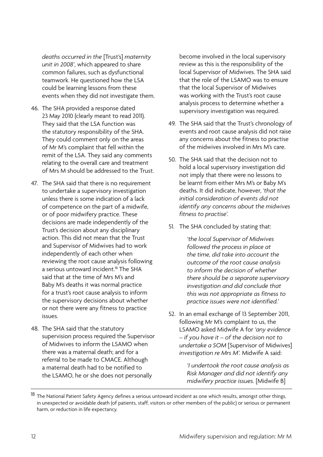*deaths occurred in the* [Trust's] *maternity unit in 2008'*, which appeared to share common failures, such as dysfunctional teamwork. He questioned how the LSA could be learning lessons from these events when they did not investigate them.

- 46. The SHA provided a response dated 23 May 2010 (clearly meant to read 2011). They said that the LSA function was the statutory responsibility of the SHA. They could comment only on the areas of Mr M's complaint that fell within the remit of the LSA. They said any comments relating to the overall care and treatment of Mrs M should be addressed to the Trust.
- 47. The SHA said that there is no requirement to undertake a supervisory investigation unless there is some indication of a lack of competence on the part of a midwife, or of poor midwifery practice. These decisions are made independently of the Trust's decision about any disciplinary action. This did not mean that the Trust and Supervisor of Midwives had to work independently of each other when reviewing the root cause analysis following a serious untoward incident.<sup>18</sup> The SHA said that at the time of Mrs M's and Baby M's deaths it was normal practice for a trust's root cause analysis to inform the supervisory decisions about whether or not there were any fitness to practice issues.
- 48. The SHA said that the statutory supervision process required the Supervisor of Midwives to inform the LSAMO when there was a maternal death; and for a referral to be made to CMACE. Although a maternal death had to be notified to the LSAMO, he or she does not personally

become involved in the local supervisory review as this is the responsibility of the local Supervisor of Midwives. The SHA said that the role of the LSAMO was to ensure that the local Supervisor of Midwives was working with the Trust's root cause analysis process to determine whether a supervisory investigation was required.

- 49. The SHA said that the Trust's chronology of events and root cause analysis did not raise any concerns about the fitness to practise of the midwives involved in Mrs M's care.
- 50. The SHA said that the decision not to hold a local supervisory investigation did not imply that there were no lessons to be learnt from either Mrs M's or Baby M's deaths. It did indicate, however, *'that the initial consideration of events did not identify any concerns about the midwives fitness to practise'.*
- 51. The SHA concluded by stating that:

*'the local Supervisor of Midwives followed the process in place at the time, did take into account the outcome of the root cause analysis to inform the decision of whether there should be a separate supervisory investigation and did conclude that this was not appropriate as fitness to practice issues were not identified.'*

52. In an email exchange of 13 September 2011, following Mr M's complaint to us, the LSAMO asked Midwife A for *'any evidence – if you have it – of the decision not to undertake a SOM* [Supervisor of Midwives] *investigation re Mrs M'.* Midwife A said:

> *'I undertook the root cause analysis as Risk Manager and did not identify any midwifery practice issues.* [Midwife B]

<sup>&</sup>lt;sup>18</sup> The National Patient Safety Agency defines a serious untoward incident as one which results, amongst other things, in unexpected or avoidable death (of patients, staff, visitors or other members of the public) or serious or permanent harm, or reduction in life expectancy.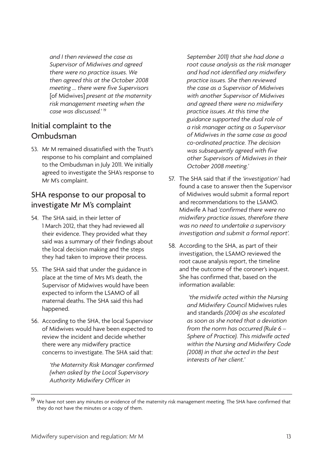*and I then reviewed the case as Supervisor of Midwives and agreed there were no practice issues. We then agreed this at the October 2008 meeting … there were five Supervisors* [of Midwives] *present at the maternity risk management meeting when the case was discussed.'* <sup>19</sup>

#### Initial complaint to the Ombudsman

53. Mr M remained dissatisfied with the Trust's response to his complaint and complained to the Ombudsman in July 2011. We initially agreed to investigate the SHA's response to Mr M's complaint.

### SHA response to our proposal to investigate Mr M's complaint

- 54. The SHA said, in their letter of 1 March 2012, that they had reviewed all their evidence. They provided what they said was a summary of their findings about the local decision making and the steps they had taken to improve their process.
- 55. The SHA said that under the guidance in place at the time of Mrs M's death, the Supervisor of Midwives would have been expected to inform the LSAMO of all maternal deaths. The SHA said this had happened.
- 56. According to the SHA, the local Supervisor of Midwives would have been expected to review the incident and decide whether there were any midwifery practice concerns to investigate. The SHA said that:

*'the Maternity Risk Manager confirmed (when asked by the Local Supervisory Authority Midwifery Officer in* 

*September 2011) that she had done a root cause analysis as the risk manager and had not identified any midwifery practice issues. She then reviewed the case as a Supervisor of Midwives with another Supervisor of Midwives and agreed there were no midwifery practice issues. At this time the guidance supported the dual role of a risk manager acting as a Supervisor of Midwives in the same case as good co-ordinated practice. The decision was subsequently agreed with five other Supervisors of Midwives in their October 2008 meeting.'*

- 57. The SHA said that if the *'investigation'* had found a case to answer then the Supervisor of Midwives would submit a formal report and recommendations to the LSAMO. Midwife A had *'confirmed there were no midwifery practice issues, therefore there was no need to undertake a supervisory investigation and submit a formal report'.*
- 58. According to the SHA, as part of their investigation, the LSAMO reviewed the root cause analysis report, the timeline and the outcome of the coroner's inquest. She has confirmed that, based on the information available:

 *'the midwife acted within the Nursing and Midwifery Council* Midwives rules and standards *(2004) as she escalated as soon as she noted that a deviation from the norm has occurred (Rule 6 – Sphere of Practice). This midwife acted within the Nursing and Midwifery Code (2008) in that she acted in the best interests of her client.'*

<sup>&</sup>lt;sup>19</sup> We have not seen any minutes or evidence of the maternity risk management meeting. The SHA have confirmed that they do not have the minutes or a copy of them.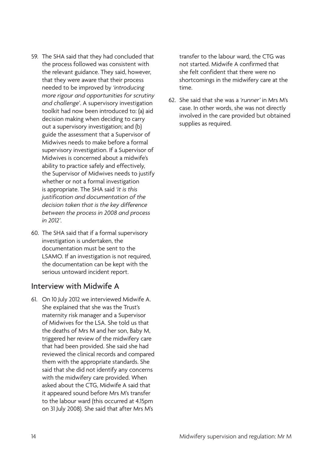- 59. The SHA said that they had concluded that the process followed was consistent with the relevant guidance. They said, however, that they were aware that their process needed to be improved by *'introducing more rigour and opportunities for scrutiny and challenge'*. A supervisory investigation toolkit had now been introduced to: (a) aid decision making when deciding to carry out a supervisory investigation; and (b) guide the assessment that a Supervisor of Midwives needs to make before a formal supervisory investigation. If a Supervisor of Midwives is concerned about a midwife's ability to practice safely and effectively, the Supervisor of Midwives needs to justify whether or not a formal investigation is appropriate. The SHA said *'it is this justification and documentation of the decision taken that is the key difference between the process in 2008 and process in 2012'*.
- 60. The SHA said that if a formal supervisory investigation is undertaken, the documentation must be sent to the LSAMO. If an investigation is not required, the documentation can be kept with the serious untoward incident report.

#### Interview with Midwife A

61. On 10 July 2012 we interviewed Midwife A. She explained that she was the Trust's maternity risk manager and a Supervisor of Midwives for the LSA. She told us that the deaths of Mrs M and her son, Baby M, triggered her review of the midwifery care that had been provided. She said she had reviewed the clinical records and compared them with the appropriate standards. She said that she did not identify any concerns with the midwifery care provided. When asked about the CTG, Midwife A said that it appeared sound before Mrs M's transfer to the labour ward (this occurred at 4.15pm on 31 July 2008). She said that after Mrs M's

transfer to the labour ward, the CTG was not started. Midwife A confirmed that she felt confident that there were no shortcomings in the midwifery care at the time.

62. She said that she was a *'runner'* in Mrs M's case. In other words, she was not directly involved in the care provided but obtained supplies as required.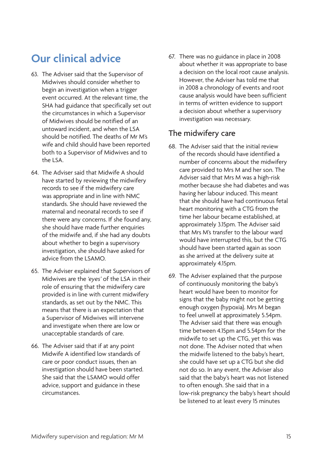## <span id="page-18-0"></span>**Our clinical advice**

- 63. The Adviser said that the Supervisor of Midwives should consider whether to begin an investigation when a trigger event occurred. At the relevant time, the SHA had guidance that specifically set out the circumstances in which a Supervisor of Midwives should be notified of an untoward incident, and when the LSA should be notified. The deaths of Mr M's wife and child should have been reported both to a Supervisor of Midwives and to the LSA.
- 64. The Adviser said that Midwife A should have started by reviewing the midwifery records to see if the midwifery care was appropriate and in line with NMC standards. She should have reviewed the maternal and neonatal records to see if there were any concerns. If she found any, she should have made further enquiries of the midwife and, if she had any doubts about whether to begin a supervisory investigation, she should have asked for advice from the LSAMO.
- 65. The Adviser explained that Supervisors of Midwives are the *'eyes'* of the LSA in their role of ensuring that the midwifery care provided is in line with current midwifery standards, as set out by the NMC. This means that there is an expectation that a Supervisor of Midwives will intervene and investigate when there are low or unacceptable standards of care.
- 66. The Adviser said that if at any point Midwife A identified low standards of care or poor conduct issues, then an investigation should have been started. She said that the LSAMO would offer advice, support and guidance in these circumstances.

67. There was no guidance in place in 2008 about whether it was appropriate to base a decision on the local root cause analysis. However, the Adviser has told me that in 2008 a chronology of events and root cause analysis would have been sufficient in terms of written evidence to support a decision about whether a supervisory investigation was necessary.

#### The midwifery care

- 68. The Adviser said that the initial review of the records should have identified a number of concerns about the midwifery care provided to Mrs M and her son. The Adviser said that Mrs M was a high-risk mother because she had diabetes and was having her labour induced. This meant that she should have had continuous fetal heart monitoring with a CTG from the time her labour became established, at approximately 3.15pm. The Adviser said that Mrs M's transfer to the labour ward would have interrupted this, but the CTG should have been started again as soon as she arrived at the delivery suite at approximately 4.15pm.
- 69. The Adviser explained that the purpose of continuously monitoring the baby's heart would have been to monitor for signs that the baby might not be getting enough oxygen (hypoxia). Mrs M began to feel unwell at approximately 5.54pm. The Adviser said that there was enough time between 4.15pm and 5.54pm for the midwife to set up the CTG, yet this was not done. The Adviser noted that when the midwife listened to the baby's heart, she could have set up a CTG but she did not do so. In any event, the Adviser also said that the baby's heart was not listened to often enough. She said that in a low-risk pregnancy the baby's heart should be listened to at least every 15 minutes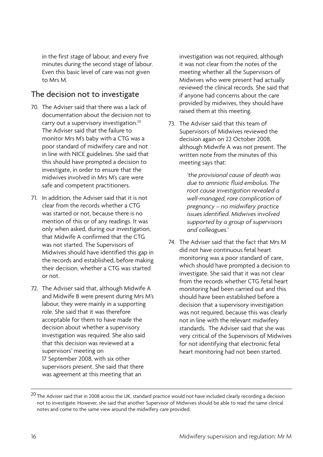in the first stage of labour, and every five minutes during the second stage of labour. Even this basic level of care was not given to Mrs M.

### The decision not to investigate

- 70. The Adviser said that there was a lack of documentation about the decision not to carry out a supervisory investigation.<sup>20</sup> The Adviser said that the failure to monitor Mrs M's baby with a CTG was a poor standard of midwifery care and not in line with NICE guidelines. She said that this should have prompted a decision to investigate, in order to ensure that the midwives involved in Mrs M's care were safe and competent practitioners.
- 71. In addition, the Adviser said that it is not clear from the records whether a CTG was started or not, because there is no mention of this or of any readings. It was only when asked, during our investigation, that Midwife A confirmed that the CTG was not started. The Supervisors of Midwives should have identified this gap in the records and established, before making their decision, whether a CTG was started or not.
- 72. The Adviser said that, although Midwife A and Midwife B were present during Mrs M's labour, they were mainly in a supporting role. She said that it was therefore acceptable for them to have made the decision about whether a supervisory investigation was required. She also said that this decision was reviewed at a supervisors' meeting on 17 September 2008, with six other supervisors present. She said that there was agreement at this meeting that an

investigation was not required, although it was not clear from the notes of the meeting whether all the Supervisors of Midwives who were present had actually reviewed the clinical records. She said that if anyone had concerns about the care provided by midwives, they should have raised them at this meeting.

73. The Adviser said that this team of Supervisors of Midwives reviewed the decision again on 22 October 2008, although Midwife A was not present. The written note from the minutes of this meeting says that:

> *'the provisional cause of death was due to amniotic fluid embolus. The root cause investigation revealed a well-managed, rare complication of pregnancy – no midwifery practice issues identified. Midwives involved supported by a group of supervisors and colleagues.'*

74. The Adviser said that the fact that Mrs M did not have continuous fetal heart monitoring was a poor standard of care, which should have prompted a decision to investigate. She said that it was not clear from the records whether CTG fetal heart monitoring had been carried out and this should have been established before a decision that a supervisory investigation was not required, because this was clearly not in line with the relevant midwifery standards. The Adviser said that she was very critical of the Supervisors of Midwives for not identifying that electronic fetal heart monitoring had not been started.

 $20$  The Adviser said that in 2008 across the UK, standard practice would not have included clearly recording a decision not to investigate. However, she said that another Supervisor of Midwives should be able to read the same clinical notes and come to the same view around the midwifery care provided.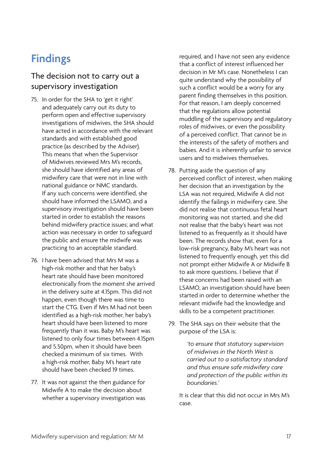## <span id="page-20-0"></span>**Findings**

### The decision not to carry out a supervisory investigation

- 75. In order for the SHA to 'get it right' and adequately carry out its duty to perform open and effective supervisory investigations of midwives, the SHA should have acted in accordance with the relevant standards and with established good practice (as described by the Adviser). This means that when the Supervisor of Midwives reviewed Mrs M's records, she should have identified any areas of midwifery care that were not in line with national guidance or NMC standards. If any such concerns were identified, she should have informed the LSAMO, and a supervisory investigation should have been started in order to establish the reasons behind midwifery practice issues; and what action was necessary in order to safeguard the public and ensure the midwife was practicing to an acceptable standard.
- 76. I have been advised that Mrs M was a high-risk mother and that her baby's heart rate should have been monitored electronically from the moment she arrived in the delivery suite at 4.15pm. This did not happen, even though there was time to start the CTG. Even if Mrs M had not been identified as a high-risk mother, her baby's heart should have been listened to more frequently than it was. Baby M's heart was listened to only four times between 4.15pm and 5.50pm, when it should have been checked a minimum of six times. With a high-risk mother, Baby M's heart rate should have been checked 19 times.
- 77. It was not against the then guidance for Midwife A to make the decision about whether a supervisory investigation was

required, and I have not seen any evidence that a conflict of interest influenced her decision in Mr M's case. Nonetheless I can quite understand why the possibility of such a conflict would be a worry for any parent finding themselves in this position. For that reason, I am deeply concerned that the regulations allow potential muddling of the supervisory and regulatory roles of midwives, or even the possibility of a perceived conflict. That cannot be in the interests of the safety of mothers and babies. And it is inherently unfair to service users and to midwives themselves.

- 78. Putting aside the question of any perceived conflict of interest, when making her decision that an investigation by the LSA was not required, Midwife A did not identify the failings in midwifery care. She did not realise that continuous fetal heart monitoring was not started, and she did not realise that the baby's heart was not listened to as frequently as it should have been. The records show that, even for a low-risk pregnancy, Baby M's heart was not listened to frequently enough, yet this did not prompt either Midwife A or Midwife B to ask more questions. I believe that if these concerns had been raised with an LSAMO, an investigation should have been started in order to determine whether the relevant midwife had the knowledge and skills to be a competent practitioner.
- 79. The SHA says on their website that the purpose of the LSA is:

*'to ensure that statutory supervision of midwives in the North West is carried out to a satisfactory standard and thus ensure safe midwifery care and protection of the public within its boundaries.'*

It is clear that this did not occur in Mrs M's case.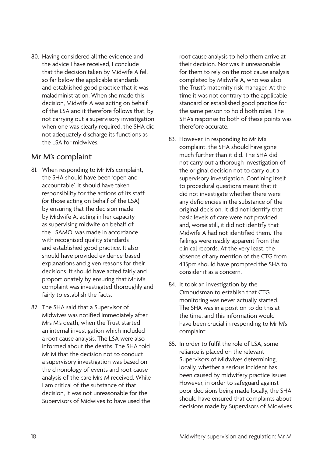80. Having considered all the evidence and the advice I have received, I conclude that the decision taken by Midwife A fell so far below the applicable standards and established good practice that it was maladministration. When she made this decision, Midwife A was acting on behalf of the LSA and it therefore follows that, by not carrying out a supervisory investigation when one was clearly required, the SHA did not adequately discharge its functions as the LSA for midwives.

#### Mr M's complaint

- 81. When responding to Mr M's complaint, the SHA should have been 'open and accountable'. It should have taken responsibility for the actions of its staff (or those acting on behalf of the LSA) by ensuring that the decision made by Midwife A, acting in her capacity as supervising midwife on behalf of the LSAMO, was made in accordance with recognised quality standards and established good practice. It also should have provided evidence-based explanations and given reasons for their decisions. It should have acted fairly and proportionately by ensuring that Mr M's complaint was investigated thoroughly and fairly to establish the facts.
- 82. The SHA said that a Supervisor of Midwives was notified immediately after Mrs M's death, when the Trust started an internal investigation which included a root cause analysis. The LSA were also informed about the deaths. The SHA told Mr M that the decision not to conduct a supervisory investigation was based on the chronology of events and root cause analysis of the care Mrs M received. While I am critical of the substance of that decision, it was not unreasonable for the Supervisors of Midwives to have used the

root cause analysis to help them arrive at their decision. Nor was it unreasonable for them to rely on the root cause analysis completed by Midwife A, who was also the Trust's maternity risk manager. At the time it was not contrary to the applicable standard or established good practice for the same person to hold both roles. The SHA's response to both of these points was therefore accurate.

- 83. However, in responding to Mr M's complaint, the SHA should have gone much further than it did. The SHA did not carry out a thorough investigation of the original decision not to carry out a supervisory investigation. Confining itself to procedural questions meant that it did not investigate whether there were any deficiencies in the substance of the original decision. It did not identify that basic levels of care were not provided and, worse still, it did not identify that Midwife A had not identified them. The failings were readily apparent from the clinical records. At the very least, the absence of any mention of the CTG from 4.15pm should have prompted the SHA to consider it as a concern.
- 84. It took an investigation by the Ombudsman to establish that CTG monitoring was never actually started. The SHA was in a position to do this at the time, and this information would have been crucial in responding to Mr M's complaint.
- 85. In order to fulfil the role of LSA, some reliance is placed on the relevant Supervisors of Midwives determining, locally, whether a serious incident has been caused by midwifery practice issues. However, in order to safeguard against poor decisions being made locally, the SHA should have ensured that complaints about decisions made by Supervisors of Midwives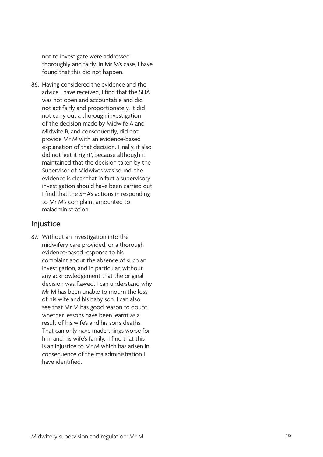not to investigate were addressed thoroughly and fairly. In Mr M's case, I have found that this did not happen.

86. Having considered the evidence and the advice I have received, I find that the SHA was not open and accountable and did not act fairly and proportionately. It did not carry out a thorough investigation of the decision made by Midwife A and Midwife B, and consequently, did not provide Mr M with an evidence-based explanation of that decision. Finally, it also did not 'get it right', because although it maintained that the decision taken by the Supervisor of Midwives was sound, the evidence is clear that in fact a supervisory investigation should have been carried out. I find that the SHA's actions in responding to Mr M's complaint amounted to maladministration.

#### Injustice

87. Without an investigation into the midwifery care provided, or a thorough evidence-based response to his complaint about the absence of such an investigation, and in particular, without any acknowledgement that the original decision was flawed, I can understand why Mr M has been unable to mourn the loss of his wife and his baby son. I can also see that Mr M has good reason to doubt whether lessons have been learnt as a result of his wife's and his son's deaths. That can only have made things worse for him and his wife's family. I find that this is an injustice to Mr M which has arisen in consequence of the maladministration I have identified.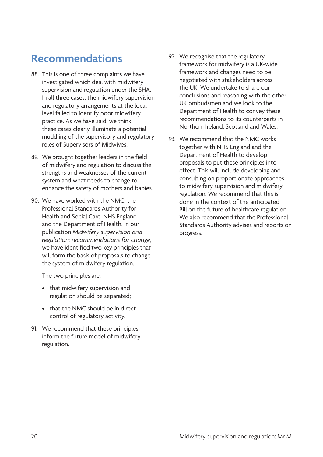## <span id="page-23-0"></span>**Recommendations**

- 88. This is one of three complaints we have investigated which deal with midwifery supervision and regulation under the SHA. In all three cases, the midwifery supervision and regulatory arrangements at the local level failed to identify poor midwifery practice. As we have said, we think these cases clearly illuminate a potential muddling of the supervisory and regulatory roles of Supervisors of Midwives.
- 89. We brought together leaders in the field of midwifery and regulation to discuss the strengths and weaknesses of the current system and what needs to change to enhance the safety of mothers and babies.
- 90. We have worked with the NMC, the Professional Standards Authority for Health and Social Care, NHS England and the Department of Health. In our publication *Midwifery supervision and regulation: recommendations for change*, we have identified two key principles that will form the basis of proposals to change the system of midwifery regulation.

The two principles are:

- that midwifery supervision and regulation should be separated;
- that the NMC should be in direct control of regulatory activity.
- 91. We recommend that these principles inform the future model of midwifery regulation.
- 92. We recognise that the regulatory framework for midwifery is a UK-wide framework and changes need to be negotiated with stakeholders across the UK. We undertake to share our conclusions and reasoning with the other UK ombudsmen and we look to the Department of Health to convey these recommendations to its counterparts in Northern Ireland, Scotland and Wales.
- 93. We recommend that the NMC works together with NHS England and the Department of Health to develop proposals to put these principles into effect. This will include developing and consulting on proportionate approaches to midwifery supervision and midwifery regulation. We recommend that this is done in the context of the anticipated Bill on the future of healthcare regulation. We also recommend that the Professional Standards Authority advises and reports on progress.